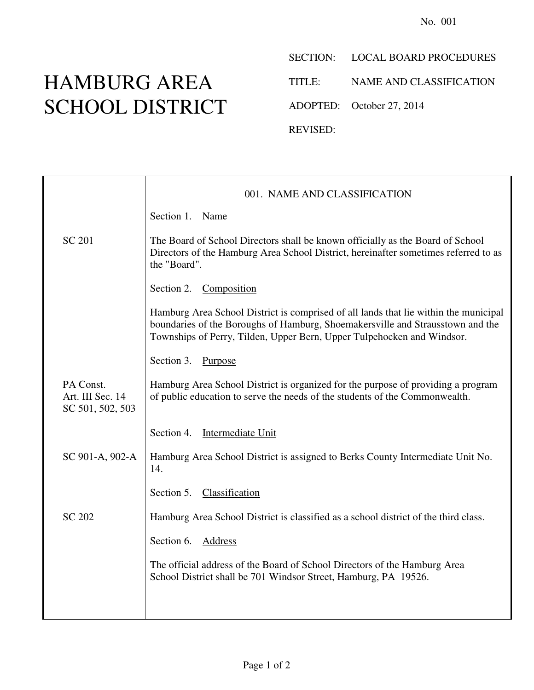## HAMBURG AREA SCHOOL DISTRICT

SECTION: LOCAL BOARD PROCEDURES

TITLE: NAME AND CLASSIFICATION

ADOPTED: October 27, 2014

REVISED:

|                                                   | 001. NAME AND CLASSIFICATION                                                                                                                                                                                                                     |
|---------------------------------------------------|--------------------------------------------------------------------------------------------------------------------------------------------------------------------------------------------------------------------------------------------------|
|                                                   | Section 1.<br>Name                                                                                                                                                                                                                               |
| <b>SC 201</b>                                     | The Board of School Directors shall be known officially as the Board of School<br>Directors of the Hamburg Area School District, hereinafter sometimes referred to as<br>the "Board".                                                            |
|                                                   | Composition<br>Section 2.                                                                                                                                                                                                                        |
|                                                   | Hamburg Area School District is comprised of all lands that lie within the municipal<br>boundaries of the Boroughs of Hamburg, Shoemakersville and Strausstown and the<br>Townships of Perry, Tilden, Upper Bern, Upper Tulpehocken and Windsor. |
|                                                   | Section 3. Purpose                                                                                                                                                                                                                               |
| PA Const.<br>Art. III Sec. 14<br>SC 501, 502, 503 | Hamburg Area School District is organized for the purpose of providing a program<br>of public education to serve the needs of the students of the Commonwealth.                                                                                  |
|                                                   | Section 4. Intermediate Unit                                                                                                                                                                                                                     |
| SC 901-A, 902-A                                   | Hamburg Area School District is assigned to Berks County Intermediate Unit No.<br>14.                                                                                                                                                            |
|                                                   | Section 5. Classification                                                                                                                                                                                                                        |
| <b>SC 202</b>                                     | Hamburg Area School District is classified as a school district of the third class.                                                                                                                                                              |
|                                                   | Section 6.<br>Address                                                                                                                                                                                                                            |
|                                                   | The official address of the Board of School Directors of the Hamburg Area<br>School District shall be 701 Windsor Street, Hamburg, PA 19526.                                                                                                     |
|                                                   |                                                                                                                                                                                                                                                  |